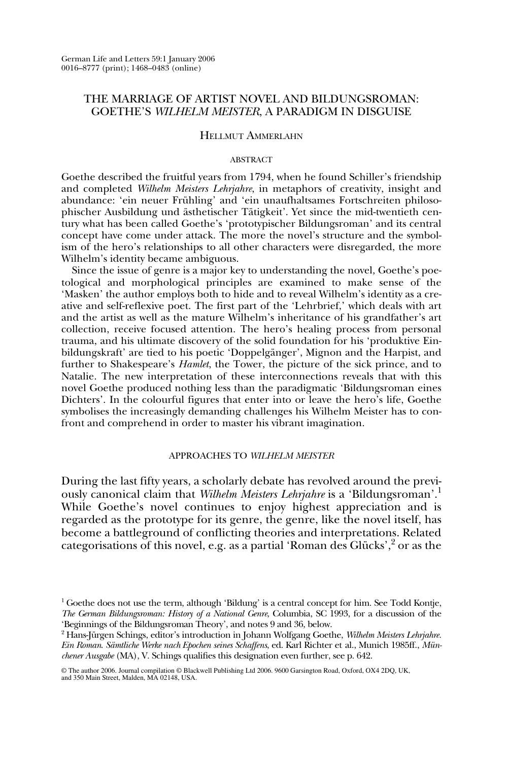# THE MARRIAGE OF ARTIST NOVEL AND BILDUNGSROMAN: GOETHE'S *WILHELM MEISTER*, A PARADIGM IN DISGUISE

#### HELLMUT AMMERLAHN

#### ABSTRACT

Goethe described the fruitful years from 1794, when he found Schiller's friendship and completed *Wilhelm Meisters Lehrjahre*, in metaphors of creativity, insight and abundance: 'ein neuer Frühling' and 'ein unaufhaltsames Fortschreiten philosophischer Ausbildung und ästhetischer Tätigkeit'. Yet since the mid-twentieth century what has been called Goethe's 'prototypischer Bildungsroman' and its central concept have come under attack. The more the novel's structure and the symbolism of the hero's relationships to all other characters were disregarded, the more Wilhelm's identity became ambiguous.

Since the issue of genre is a major key to understanding the novel, Goethe's poetological and morphological principles are examined to make sense of the 'Masken' the author employs both to hide and to reveal Wilhelm's identity as a creative and self-reflexive poet. The first part of the 'Lehrbrief,' which deals with art and the artist as well as the mature Wilhelm's inheritance of his grandfather's art collection, receive focused attention. The hero's healing process from personal trauma, and his ultimate discovery of the solid foundation for his 'produktive Einbildungskraft' are tied to his poetic 'Doppelgänger', Mignon and the Harpist, and further to Shakespeare's *Hamlet*, the Tower, the picture of the sick prince, and to Natalie. The new interpretation of these interconnections reveals that with this novel Goethe produced nothing less than the paradigmatic 'Bildungsroman eines Dichters'. In the colourful figures that enter into or leave the hero's life, Goethe symbolises the increasingly demanding challenges his Wilhelm Meister has to confront and comprehend in order to master his vibrant imagination.

# APPROACHES TO *WILHELM MEISTER*

During the last fifty years, a scholarly debate has revolved around the previously canonical claim that *Wilhelm Meisters Lehrjahre* is a 'Bildungsroman'.1 While Goethe's novel continues to enjoy highest appreciation and is regarded as the prototype for its genre, the genre, like the novel itself, has become a battleground of conflicting theories and interpretations. Related categorisations of this novel, e.g. as a partial 'Roman des Glücks',<sup>2</sup> or as the

<sup>&</sup>lt;sup>1</sup> Goethe does not use the term, although 'Bildung' is a central concept for him. See Todd Kontje, *The German Bildungsroman: History of a National Genre*, Columbia, SC 1993, for a discussion of the 'Beginnings of the Bildungsroman Theory', and notes 9 and 36, below.

<sup>2</sup> Hans-Jürgen Schings, editor's introduction in Johann Wolfgang Goethe, *Wilhelm Meisters Lehrjahre. Ein Roman*. *Sämtliche Werke nach Epochen seines Schaffens*, ed. Karl Richter et al., Munich 1985ff., *Münchener Ausgabe* (MA), V. Schings qualifies this designation even further, see p. 642.

<sup>©</sup> The author 2006. Journal compilation © Blackwell Publishing Ltd 2006. 9600 Garsington Road, Oxford, OX4 2DQ, UK, and 350 Main Street, Malden, MA 02148, USA.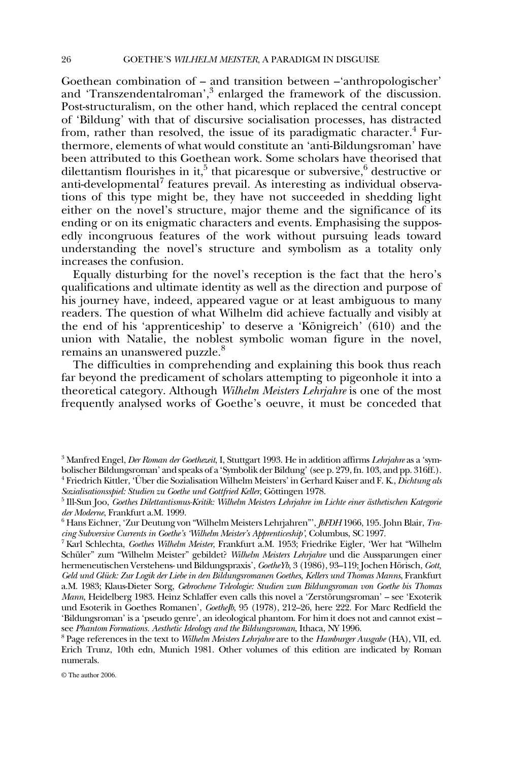Goethean combination of – and transition between –'anthropologischer' and 'Transzendentalroman',<sup>3</sup> enlarged the framework of the discussion. Post-structuralism, on the other hand, which replaced the central concept of 'Bildung' with that of discursive socialisation processes, has distracted from, rather than resolved, the issue of its paradigmatic character.<sup>4</sup> Furthermore, elements of what would constitute an 'anti-Bildungsroman' have been attributed to this Goethean work. Some scholars have theorised that dilettantism flourishes in it, $^5$  that picaresque or subversive, $^6$  destructive or anti-developmental<sup>7</sup> features prevail. As interesting as individual observations of this type might be, they have not succeeded in shedding light either on the novel's structure, major theme and the significance of its ending or on its enigmatic characters and events. Emphasising the supposedly incongruous features of the work without pursuing leads toward understanding the novel's structure and symbolism as a totality only increases the confusion.

Equally disturbing for the novel's reception is the fact that the hero's qualifications and ultimate identity as well as the direction and purpose of his journey have, indeed, appeared vague or at least ambiguous to many readers. The question of what Wilhelm did achieve factually and visibly at the end of his 'apprenticeship' to deserve a 'Königreich' (610) and the union with Natalie, the noblest symbolic woman figure in the novel, remains an unanswered puzzle.<sup>8</sup>

The difficulties in comprehending and explaining this book thus reach far beyond the predicament of scholars attempting to pigeonhole it into a theoretical category. Although *Wilhelm Meisters Lehrjahre* is one of the most frequently analysed works of Goethe's oeuvre, it must be conceded that

<sup>3</sup> Manfred Engel, *Der Roman der Goethezeit*, I, Stuttgart 1993. He in addition affirms *Lehrjahre* as a 'symbolischer Bildungsroman' and speaks of a 'Symbolik der Bildung' (see p. 279, fn. 103, and pp. 316ff.). <sup>4</sup> Friedrich Kittler, 'Über die Sozialisation Wilhelm Meisters' in Gerhard Kaiser and F. K., *Dichtung als Sozialisationsspiel: Studien zu Goethe und Gottfried Keller*, Göttingen 1978.

<sup>5</sup> Ill-Sun Joo, *Goethes Dilettantismus-Kritik: Wilhelm Meisters Lehrjahre im Lichte einer ästhetischen Kategorie der Moderne*, Frankfurt a.M. 1999.

<sup>6</sup> Hans Eichner, 'Zur Deutung von "Wilhelm Meisters Lehrjahren"', *JbFDH* 1966, 195. John Blair, *Tracing Subversive Currents in Goethe's 'Wilhelm Meister's Apprenticeship'*, Columbus, SC 1997.

<sup>7</sup> Karl Schlechta, *Goethes Wilhelm Meister*, Frankfurt a.M. 1953; Friedrike Eigler, 'Wer hat "Wilhelm Schüler" zum "Wilhelm Meister" gebildet? *Wilhelm Meisters Lehrjahre* und die Aussparungen einer hermeneutischen Verstehens- und Bildungspraxis', *GoetheYb*, 3 (1986), 93–119; Jochen Hörisch, *Gott, Geld und Glück: Zur Logik der Liebe in den Bildungsromanen Goethes, Kellers und Thomas Manns*, Frankfurt a.M. 1983; Klaus-Dieter Sorg, *Gebrochene Teleologie: Studien zum Bildungsroman von Goethe bis Thomas Mann*, Heidelberg 1983. Heinz Schlaffer even calls this novel a 'Zerstörungsroman' – see 'Exoterik und Esoterik in Goethes Romanen', *GoetheJb*, 95 (1978), 212–26, here 222. For Marc Redfield the 'Bildungsroman' is a 'pseudo genre', an ideological phantom. For him it does not and cannot exist – see *Phantom Formations. Aesthetic Ideology and the Bildungsroman*, Ithaca, NY 1996.

<sup>8</sup> Page references in the text to *Wilhelm Meisters Lehrjahre* are to the *Hamburger Ausgabe* (HA), VII, ed. Erich Trunz, 10th edn, Munich 1981. Other volumes of this edition are indicated by Roman numerals.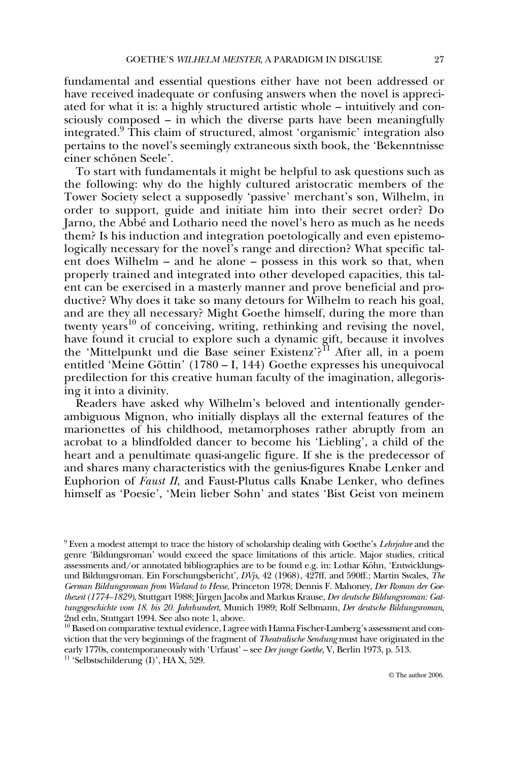fundamental and essential questions either have not been addressed or have received inadequate or confusing answers when the novel is appreciated for what it is: a highly structured artistic whole – intuitively and consciously composed – in which the diverse parts have been meaningfully integrated.<sup>9</sup> This claim of structured, almost 'organismic' integration also pertains to the novel's seemingly extraneous sixth book, the 'Bekenntnisse einer schönen Seele'.

To start with fundamentals it might be helpful to ask questions such as the following: why do the highly cultured aristocratic members of the Tower Society select a supposedly 'passive' merchant's son, Wilhelm, in order to support, guide and initiate him into their secret order? Do Jarno, the Abbé and Lothario need the novel's hero as much as he needs them? Is his induction and integration poetologically and even epistemologically necessary for the novel's range and direction? What specific talent does Wilhelm – and he alone – possess in this work so that, when properly trained and integrated into other developed capacities, this talent can be exercised in a masterly manner and prove beneficial and productive? Why does it take so many detours for Wilhelm to reach his goal, and are they all necessary? Might Goethe himself, during the more than twenty years<sup>10</sup> of conceiving, writing, rethinking and revising the novel, have found it crucial to explore such a dynamic gift, because it involves the 'Mittelpunkt und die Base seiner Existenz'?<sup>11</sup> After all, in a poem entitled 'Meine Göttin' (1780 – I, 144) Goethe expresses his unequivocal predilection for this creative human faculty of the imagination, allegorising it into a divinity.

Readers have asked why Wilhelm's beloved and intentionally genderambiguous Mignon, who initially displays all the external features of the marionettes of his childhood, metamorphoses rather abruptly from an acrobat to a blindfolded dancer to become his 'Liebling', a child of the heart and a penultimate quasi-angelic figure. If she is the predecessor of and shares many characteristics with the genius-figures Knabe Lenker and Euphorion of *Faust II*, and Faust-Plutus calls Knabe Lenker, who defines himself as 'Poesie', 'Mein lieber Sohn' and states 'Bist Geist von meinem

<sup>9</sup> Even a modest attempt to trace the history of scholarship dealing with Goethe's *Lehrjahre* and the genre 'Bildungsroman' would exceed the space limitations of this article. Major studies, critical assessments and/or annotated bibliographies are to be found e.g. in: Lothar Köhn, 'Entwicklungsund Bildungsroman. Ein Forschungsbericht', *DVjs*, 42 (1968), 427ff. and 590ff.; Martin Swales, *The German Bildungsroman from Wieland to Hesse*, Princeton 1978; Dennis F. Mahoney, *Der Roman der Goethezeit (1774–1829)*, Stuttgart 1988; Jürgen Jacobs and Markus Krause, *Der deutsche Bildungsroman: Gattungsgeschichte vom 18. bis 20. Jahrhundert*, Munich 1989; Rolf Selbmann, *Der deutsche Bildungsroman*, 2nd edn, Stuttgart 1994. See also note 1, above.

<sup>&</sup>lt;sup>10</sup> Based on comparative textual evidence, I agree with Hanna Fischer-Lamberg's assessment and conviction that the very beginnings of the fragment of *Theatralische Sendung* must have originated in the early 1770s, contemporaneously with 'Urfaust' – see *Der junge Goethe*, V, Berlin 1973, p. 513.  $11$  'Selbstschilderung (I)', HA X, 529.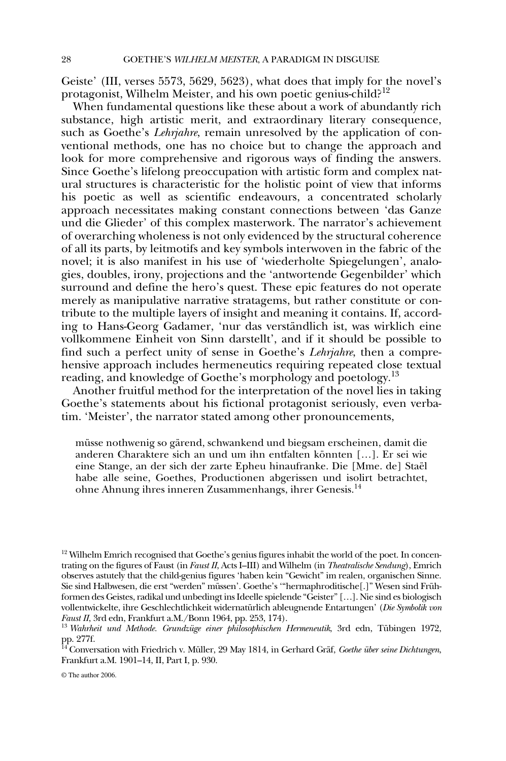Geiste' (III, verses 5573, 5629, 5623), what does that imply for the novel's protagonist, Wilhelm Meister, and his own poetic genius-child?<sup>12</sup>

When fundamental questions like these about a work of abundantly rich substance, high artistic merit, and extraordinary literary consequence, such as Goethe's *Lehrjahre*, remain unresolved by the application of conventional methods, one has no choice but to change the approach and look for more comprehensive and rigorous ways of finding the answers. Since Goethe's lifelong preoccupation with artistic form and complex natural structures is characteristic for the holistic point of view that informs his poetic as well as scientific endeavours, a concentrated scholarly approach necessitates making constant connections between 'das Ganze und die Glieder' of this complex masterwork. The narrator's achievement of overarching wholeness is not only evidenced by the structural coherence of all its parts, by leitmotifs and key symbols interwoven in the fabric of the novel; it is also manifest in his use of 'wiederholte Spiegelungen', analogies, doubles, irony, projections and the 'antwortende Gegenbilder' which surround and define the hero's quest. These epic features do not operate merely as manipulative narrative stratagems, but rather constitute or contribute to the multiple layers of insight and meaning it contains. If, according to Hans-Georg Gadamer, 'nur das verständlich ist, was wirklich eine vollkommene Einheit von Sinn darstellt', and if it should be possible to find such a perfect unity of sense in Goethe's *Lehrjahre*, then a comprehensive approach includes hermeneutics requiring repeated close textual reading, and knowledge of Goethe's morphology and poetology.<sup>13</sup>

Another fruitful method for the interpretation of the novel lies in taking Goethe's statements about his fictional protagonist seriously, even verbatim. 'Meister', the narrator stated among other pronouncements,

müsse nothwenig so gärend, schwankend und biegsam erscheinen, damit die anderen Charaktere sich an und um ihn entfalten könnten […]. Er sei wie eine Stange, an der sich der zarte Epheu hinaufranke. Die [Mme. de] Staël habe alle seine, Goethes, Productionen abgerissen und isolirt betrachtet, ohne Ahnung ihres inneren Zusammenhangs, ihrer Genesis.<sup>14</sup>

 $12$  Wilhelm Emrich recognised that Goethe's genius figures inhabit the world of the poet. In concentrating on the figures of Faust (in *Faust II*, Acts I–III) and Wilhelm (in *Theatralische Sendung*), Emrich observes astutely that the child-genius figures 'haben kein "Gewicht" im realen, organischen Sinne. Sie sind Halbwesen, die erst "werden" müssen'. Goethe's '"hermaphroditische[.]" Wesen sind Frühformen des Geistes, radikal und unbedingt ins Ideelle spielende "Geister" […]. Nie sind es biologisch vollentwickelte, ihre Geschlechtlichkeit widernatürlich ableugnende Entartungen' (*Die Symbolik von Faust II*, 3rd edn, Frankfurt a.M./Bonn 1964, pp. 253, 174).

<sup>13</sup> *Wahrheit und Methode. Grundzüge einer philosophischen Hermeneutik*, 3rd edn, Tübingen 1972, pp. 277f.

<sup>14</sup> Conversation with Friedrich v. Müller, 29 May 1814, in Gerhard Gräf, *Goethe über seine Dichtungen*, Frankfurt a.M. 1901–14, II, Part I, p. 930.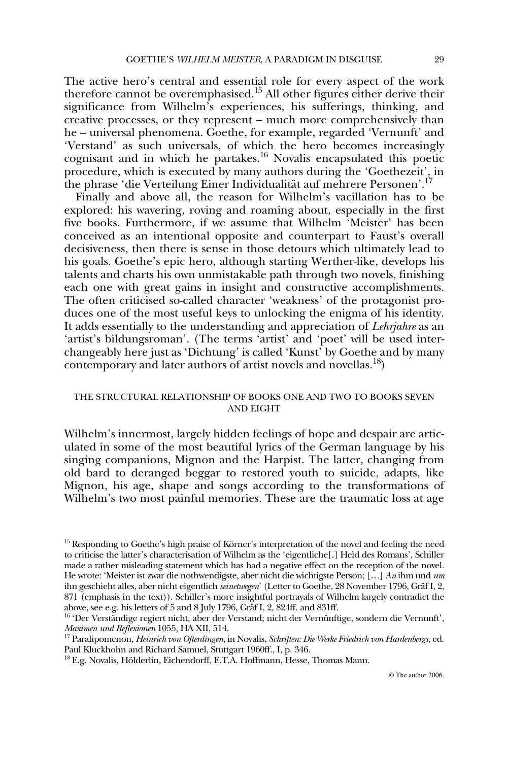The active hero's central and essential role for every aspect of the work therefore cannot be overemphasised.<sup>15</sup> All other figures either derive their significance from Wilhelm's experiences, his sufferings, thinking, and creative processes, or they represent – much more comprehensively than he – universal phenomena. Goethe, for example, regarded 'Vernunft' and 'Verstand' as such universals, of which the hero becomes increasingly cognisant and in which he partakes.16 Novalis encapsulated this poetic procedure, which is executed by many authors during the 'Goethezeit', in the phrase 'die Verteilung Einer Individualität auf mehrere Personen'.17

Finally and above all, the reason for Wilhelm's vacillation has to be explored: his wavering, roving and roaming about, especially in the first five books. Furthermore, if we assume that Wilhelm 'Meister' has been conceived as an intentional opposite and counterpart to Faust's overall decisiveness, then there is sense in those detours which ultimately lead to his goals. Goethe's epic hero, although starting Werther-like, develops his talents and charts his own unmistakable path through two novels, finishing each one with great gains in insight and constructive accomplishments. The often criticised so-called character 'weakness' of the protagonist produces one of the most useful keys to unlocking the enigma of his identity. It adds essentially to the understanding and appreciation of *Lehrjahre* as an 'artist's bildungsroman'. (The terms 'artist' and 'poet' will be used interchangeably here just as 'Dichtung' is called 'Kunst' by Goethe and by many contemporary and later authors of artist novels and novellas. $^{18}$ )

## THE STRUCTURAL RELATIONSHIP OF BOOKS ONE AND TWO TO BOOKS SEVEN AND EIGHT

Wilhelm's innermost, largely hidden feelings of hope and despair are articulated in some of the most beautiful lyrics of the German language by his singing companions, Mignon and the Harpist. The latter, changing from old bard to deranged beggar to restored youth to suicide, adapts, like Mignon, his age, shape and songs according to the transformations of Wilhelm's two most painful memories. These are the traumatic loss at age

<sup>&</sup>lt;sup>15</sup> Responding to Goethe's high praise of Körner's interpretation of the novel and feeling the need to criticise the latter's characterisation of Wilhelm as the 'eigentliche[.] Held des Romans', Schiller made a rather misleading statement which has had a negative effect on the reception of the novel. He wrote: 'Meister ist zwar die nothwendigste, aber nicht die wichtigste Person; […] *An* ihm und *um* ihn geschieht alles, aber nicht eigentlich *seinetwegen*' (Letter to Goethe, 28 November 1796, Gräf I, 2, 871 (emphasis in the text)). Schiller's more insightful portrayals of Wilhelm largely contradict the above, see e.g. his letters of 5 and 8 July 1796, Gräf I, 2, 824ff. and 831ff.

<sup>&</sup>lt;sup>16</sup> 'Der Verständige regiert nicht, aber der Verstand; nicht der Vernünftige, sondern die Vernunft', *Maximen und Reflexionen* 1055, HA XII, 514.

<sup>17</sup> Paralipomenon, *Heinrich von Ofterdingen*, in Novalis, *Schriften: Die Werke Friedrich von Hardenbergs*, ed. Paul Kluckhohn and Richard Samuel, Stuttgart 1960ff., I, p. 346.

<sup>&</sup>lt;sup>18</sup> E.g. Novalis, Hölderlin, Eichendorff, E.T.A. Hoffmann, Hesse, Thomas Mann.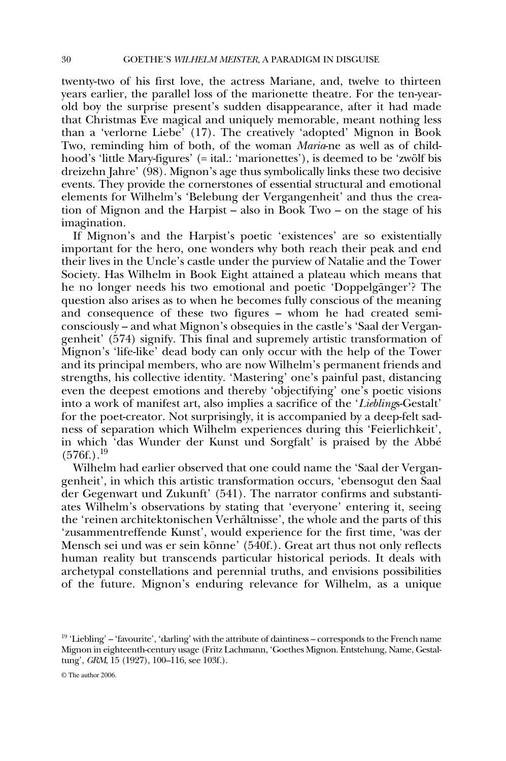twenty-two of his first love, the actress Mariane, and, twelve to thirteen years earlier, the parallel loss of the marionette theatre. For the ten-yearold boy the surprise present's sudden disappearance, after it had made that Christmas Eve magical and uniquely memorable, meant nothing less than a 'verlorne Liebe' (17). The creatively 'adopted' Mignon in Book Two, reminding him of both, of the woman *Maria*-ne as well as of childhood's 'little Mary-figures' (= ital.: 'marionettes'), is deemed to be 'zwölf bis dreizehn Jahre' (98). Mignon's age thus symbolically links these two decisive events. They provide the cornerstones of essential structural and emotional elements for Wilhelm's 'Belebung der Vergangenheit' and thus the creation of Mignon and the Harpist – also in Book Two – on the stage of his imagination.

If Mignon's and the Harpist's poetic 'existences' are so existentially important for the hero, one wonders why both reach their peak and end their lives in the Uncle's castle under the purview of Natalie and the Tower Society. Has Wilhelm in Book Eight attained a plateau which means that he no longer needs his two emotional and poetic 'Doppelgänger'? The question also arises as to when he becomes fully conscious of the meaning and consequence of these two figures – whom he had created semiconsciously – and what Mignon's obsequies in the castle's 'Saal der Vergangenheit' (574) signify. This final and supremely artistic transformation of Mignon's 'life-like' dead body can only occur with the help of the Tower and its principal members, who are now Wilhelm's permanent friends and strengths, his collective identity. 'Mastering' one's painful past, distancing even the deepest emotions and thereby 'objectifying' one's poetic visions into a work of manifest art, also implies a sacrifice of the '*Liebling*s-Gestalt' for the poet-creator. Not surprisingly, it is accompanied by a deep-felt sadness of separation which Wilhelm experiences during this 'Feierlichkeit', in which 'das Wunder der Kunst und Sorgfalt' is praised by the Abbé  $(576f.)$ <sup>19</sup>

Wilhelm had earlier observed that one could name the 'Saal der Vergangenheit', in which this artistic transformation occurs, 'ebensogut den Saal der Gegenwart und Zukunft' (541). The narrator confirms and substantiates Wilhelm's observations by stating that 'everyone' entering it, seeing the 'reinen architektonischen Verhältnisse', the whole and the parts of this 'zusammentreffende Kunst', would experience for the first time, 'was der Mensch sei und was er sein könne' (540f.). Great art thus not only reflects human reality but transcends particular historical periods. It deals with archetypal constellations and perennial truths, and envisions possibilities of the future. Mignon's enduring relevance for Wilhelm, as a unique

 $19$  'Liebling' – 'favourite', 'darling' with the attribute of daintiness – corresponds to the French name Mignon in eighteenth-century usage (Fritz Lachmann, 'Goethes Mignon. Entstehung, Name, Gestaltung', *GRM*, 15 (1927), 100–116, see 103f.).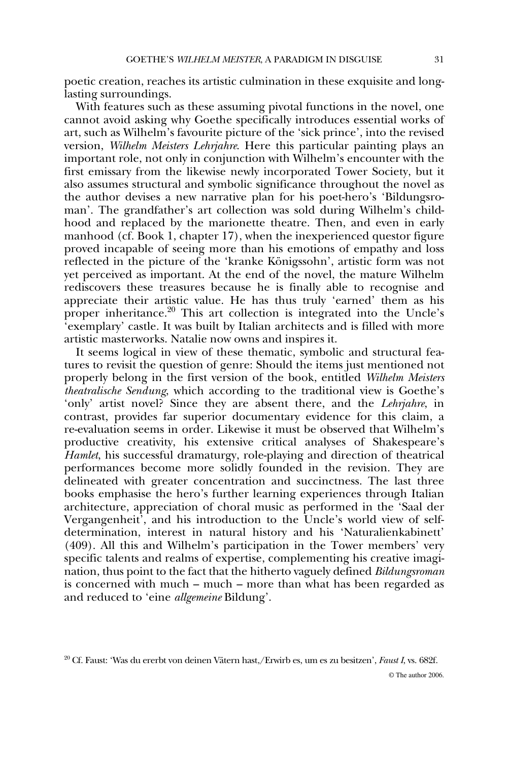poetic creation, reaches its artistic culmination in these exquisite and longlasting surroundings.

With features such as these assuming pivotal functions in the novel, one cannot avoid asking why Goethe specifically introduces essential works of art, such as Wilhelm's favourite picture of the 'sick prince', into the revised version, *Wilhelm Meisters Lehrjahre*. Here this particular painting plays an important role, not only in conjunction with Wilhelm's encounter with the first emissary from the likewise newly incorporated Tower Society, but it also assumes structural and symbolic significance throughout the novel as the author devises a new narrative plan for his poet-hero's 'Bildungsroman'. The grandfather's art collection was sold during Wilhelm's childhood and replaced by the marionette theatre. Then, and even in early manhood (cf. Book 1, chapter 17), when the inexperienced questor figure proved incapable of seeing more than his emotions of empathy and loss reflected in the picture of the 'kranke Königssohn', artistic form was not yet perceived as important. At the end of the novel, the mature Wilhelm rediscovers these treasures because he is finally able to recognise and appreciate their artistic value. He has thus truly 'earned' them as his proper inheritance.<sup>20</sup> This art collection is integrated into the Uncle's 'exemplary' castle. It was built by Italian architects and is filled with more artistic masterworks. Natalie now owns and inspires it.

It seems logical in view of these thematic, symbolic and structural features to revisit the question of genre: Should the items just mentioned not properly belong in the first version of the book, entitled *Wilhelm Meisters theatralische Sendung*, which according to the traditional view is Goethe's 'only' artist novel? Since they are absent there, and the *Lehrjahre*, in contrast, provides far superior documentary evidence for this claim, a re-evaluation seems in order. Likewise it must be observed that Wilhelm's productive creativity, his extensive critical analyses of Shakespeare's *Hamlet*, his successful dramaturgy, role-playing and direction of theatrical performances become more solidly founded in the revision. They are delineated with greater concentration and succinctness. The last three books emphasise the hero's further learning experiences through Italian architecture, appreciation of choral music as performed in the 'Saal der Vergangenheit', and his introduction to the Uncle's world view of selfdetermination, interest in natural history and his 'Naturalienkabinett' (409). All this and Wilhelm's participation in the Tower members' very specific talents and realms of expertise, complementing his creative imagination, thus point to the fact that the hitherto vaguely defined *Bildungsroman* is concerned with much – much – more than what has been regarded as and reduced to 'eine *allgemeine* Bildung'.

<sup>20</sup> Cf. Faust: 'Was du ererbt von deinen Vätern hast,/Erwirb es, um es zu besitzen', *Faust I*, vs. 682f.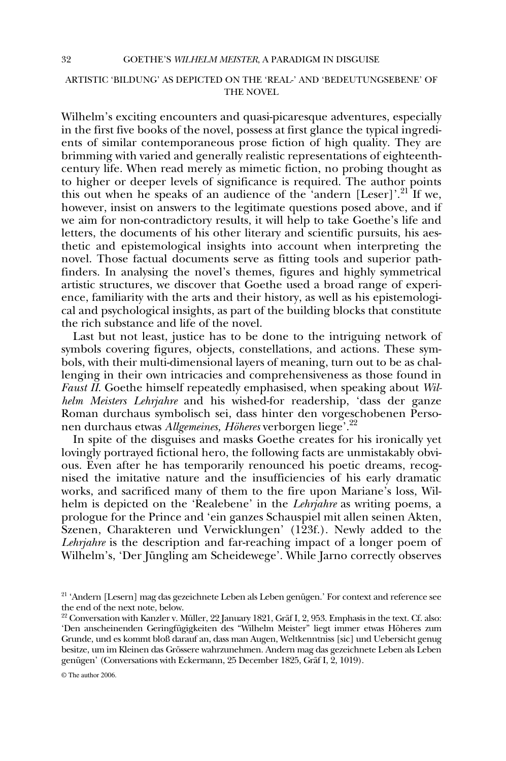#### ARTISTIC 'BILDUNG' AS DEPICTED ON THE 'REAL-' AND 'BEDEUTUNGSEBENE' OF THE NOVEL

Wilhelm's exciting encounters and quasi-picaresque adventures, especially in the first five books of the novel, possess at first glance the typical ingredients of similar contemporaneous prose fiction of high quality. They are brimming with varied and generally realistic representations of eighteenthcentury life. When read merely as mimetic fiction, no probing thought as to higher or deeper levels of significance is required. The author points this out when he speaks of an audience of the 'andern  $[Leser]'^{21}$  If we, however, insist on answers to the legitimate questions posed above, and if we aim for non-contradictory results, it will help to take Goethe's life and letters, the documents of his other literary and scientific pursuits, his aesthetic and epistemological insights into account when interpreting the novel. Those factual documents serve as fitting tools and superior pathfinders. In analysing the novel's themes, figures and highly symmetrical artistic structures, we discover that Goethe used a broad range of experience, familiarity with the arts and their history, as well as his epistemological and psychological insights, as part of the building blocks that constitute the rich substance and life of the novel.

Last but not least, justice has to be done to the intriguing network of symbols covering figures, objects, constellations, and actions. These symbols, with their multi-dimensional layers of meaning, turn out to be as challenging in their own intricacies and comprehensiveness as those found in *Faust II*. Goethe himself repeatedly emphasised, when speaking about *Wilhelm Meisters Lehrjahre* and his wished-for readership, 'dass der ganze Roman durchaus symbolisch sei, dass hinter den vorgeschobenen Personen durchaus etwas *Allgemeines, Höheres* verborgen liege'.22

In spite of the disguises and masks Goethe creates for his ironically yet lovingly portrayed fictional hero, the following facts are unmistakably obvious. Even after he has temporarily renounced his poetic dreams, recognised the imitative nature and the insufficiencies of his early dramatic works, and sacrificed many of them to the fire upon Mariane's loss, Wilhelm is depicted on the 'Realebene' in the *Lehrjahre* as writing poems, a prologue for the Prince and 'ein ganzes Schauspiel mit allen seinen Akten, Szenen, Charakteren und Verwicklungen' (123f.). Newly added to the *Lehrjahre* is the description and far-reaching impact of a longer poem of Wilhelm's, 'Der Jüngling am Scheidewege'. While Jarno correctly observes

<sup>21</sup> 'Andern [Lesern] mag das gezeichnete Leben als Leben genügen.' For context and reference see the end of the next note, below.

<sup>&</sup>lt;sup>22</sup> Conversation with Kanzler v. Müller, 22 January 1821, Gräf I, 2, 953. Emphasis in the text. Cf. also: 'Den anscheinenden Geringfügigkeiten des "Wilhelm Meister" liegt immer etwas Höheres zum Grunde, und es kommt bloß darauf an, dass man Augen, Weltkenntniss [sic] und Uebersicht genug besitze, um im Kleinen das Grössere wahrzunehmen. Andern mag das gezeichnete Leben als Leben genügen' (Conversations with Eckermann, 25 December 1825, Gräf I, 2, 1019).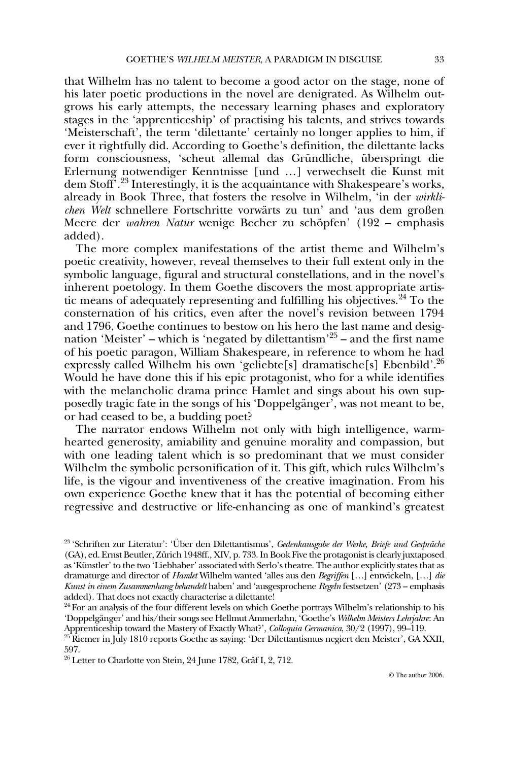that Wilhelm has no talent to become a good actor on the stage, none of his later poetic productions in the novel are denigrated. As Wilhelm outgrows his early attempts, the necessary learning phases and exploratory stages in the 'apprenticeship' of practising his talents, and strives towards 'Meisterschaft', the term 'dilettante' certainly no longer applies to him, if ever it rightfully did. According to Goethe's definition, the dilettante lacks form consciousness, 'scheut allemal das Gründliche, überspringt die Erlernung notwendiger Kenntnisse [und …] verwechselt die Kunst mit dem Stoff<sup>'.23</sup> Interestingly, it is the acquaintance with Shakespeare's works, already in Book Three, that fosters the resolve in Wilhelm, 'in der *wirklichen Welt* schnellere Fortschritte vorwärts zu tun' and 'aus dem großen Meere der *wahren Natur* wenige Becher zu schöpfen' (192 – emphasis added).

The more complex manifestations of the artist theme and Wilhelm's poetic creativity, however, reveal themselves to their full extent only in the symbolic language, figural and structural constellations, and in the novel's inherent poetology. In them Goethe discovers the most appropriate artistic means of adequately representing and fulfilling his objectives.<sup>24</sup> To the consternation of his critics, even after the novel's revision between 1794 and 1796, Goethe continues to bestow on his hero the last name and designation 'Meister' – which is 'negated by dilettantism'<sup>25</sup> – and the first name of his poetic paragon, William Shakespeare, in reference to whom he had expressly called Wilhelm his own 'geliebte[s] dramatische[s] Ebenbild'.26 Would he have done this if his epic protagonist, who for a while identifies with the melancholic drama prince Hamlet and sings about his own supposedly tragic fate in the songs of his 'Doppelgänger', was not meant to be, or had ceased to be, a budding poet?

The narrator endows Wilhelm not only with high intelligence, warmhearted generosity, amiability and genuine morality and compassion, but with one leading talent which is so predominant that we must consider Wilhelm the symbolic personification of it. This gift, which rules Wilhelm's life, is the vigour and inventiveness of the creative imagination. From his own experience Goethe knew that it has the potential of becoming either regressive and destructive or life-enhancing as one of mankind's greatest

<sup>23</sup> 'Schriften zur Literatur': 'Über den Dilettantismus', *Gedenkausgabe der Werke, Briefe und Gespräche* (GA), ed. Ernst Beutler, Zürich 1948ff., XIV, p. 733. In Book Five the protagonist is clearly juxtaposed as 'Künstler' to the two 'Liebhaber' associated with Serlo's theatre. The author explicitly states that as dramaturge and director of *Hamlet* Wilhelm wanted 'alles aus den *Begriffen* […] entwickeln, […] *die Kunst in einem Zusammenhang behandelt* haben' and 'ausgesprochene *Regeln* festsetzen' (273 – emphasis added). That does not exactly characterise a dilettante!

<sup>&</sup>lt;sup>24</sup> For an analysis of the four different levels on which Goethe portrays Wilhelm's relationship to his 'Doppelgänger' and his/their songs see Hellmut Ammerlahn, 'Goethe's *Wilhelm Meisters Lehrjahre*: An Apprenticeship toward the Mastery of Exactly What?', *Colloquia Germanica*, 30/2 (1997), 99–119.

<sup>&</sup>lt;sup>25</sup> Riemer in July 1810 reports Goethe as saying: 'Der Dilettantismus negiert den Meister', GA XXII, 597.

<sup>26</sup> Letter to Charlotte von Stein, 24 June 1782, Gräf I, 2, 712.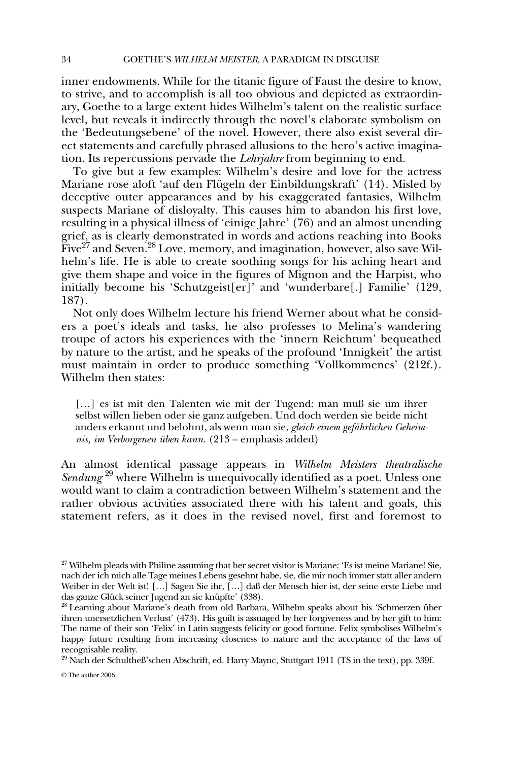inner endowments. While for the titanic figure of Faust the desire to know, to strive, and to accomplish is all too obvious and depicted as extraordinary, Goethe to a large extent hides Wilhelm's talent on the realistic surface level, but reveals it indirectly through the novel's elaborate symbolism on the 'Bedeutungsebene' of the novel. However, there also exist several direct statements and carefully phrased allusions to the hero's active imagination. Its repercussions pervade the *Lehrjahre* from beginning to end.

To give but a few examples: Wilhelm's desire and love for the actress Mariane rose aloft 'auf den Flügeln der Einbildungskraft' (14). Misled by deceptive outer appearances and by his exaggerated fantasies, Wilhelm suspects Mariane of disloyalty. This causes him to abandon his first love, resulting in a physical illness of 'einige Jahre' (76) and an almost unending grief, as is clearly demonstrated in words and actions reaching into Books  $\frac{8}{3}$  Five<sup>27</sup> and Seven.<sup>28</sup> Love, memory, and imagination, however, also save Wilhelm's life. He is able to create soothing songs for his aching heart and give them shape and voice in the figures of Mignon and the Harpist, who initially become his 'Schutzgeist[er]' and 'wunderbare[.] Familie' (129, 187).

Not only does Wilhelm lecture his friend Werner about what he considers a poet's ideals and tasks, he also professes to Melina's wandering troupe of actors his experiences with the 'innern Reichtum' bequeathed by nature to the artist, and he speaks of the profound 'Innigkeit' the artist must maintain in order to produce something 'Vollkommenes' (212f.). Wilhelm then states:

[...] es ist mit den Talenten wie mit der Tugend: man muß sie um ihrer selbst willen lieben oder sie ganz aufgeben. Und doch werden sie beide nicht anders erkannt und belohnt, als wenn man sie, *gleich einem gefährlichen Geheimnis, im Verborgenen üben kann*. (213 – emphasis added)

An almost identical passage appears in *Wilhelm Meisters theatralische Sendung*<sup>29</sup> where Wilhelm is unequivocally identified as a poet. Unless one would want to claim a contradiction between Wilhelm's statement and the rather obvious activities associated there with his talent and goals, this statement refers, as it does in the revised novel, first and foremost to

<sup>&</sup>lt;sup>27</sup> Wilhelm pleads with Philine assuming that her secret visitor is Mariane: 'Es ist meine Mariane! Sie, nach der ich mich alle Tage meines Lebens gesehnt habe, sie, die mir noch immer statt aller andern Weiber in der Welt ist! […] Sagen Sie ihr, […] daß der Mensch hier ist, der seine erste Liebe und das ganze Glück seiner Jugend an sie knüpfte' (338).

<sup>28</sup> Learning about Mariane's death from old Barbara, Wilhelm speaks about his 'Schmerzen über ihren unersetzlichen Verlust' (473). His guilt is assuaged by her forgiveness and by her gift to him: The name of their son 'Felix' in Latin suggests felicity or good fortune. Felix symbolises Wilhelm's happy future resulting from increasing closeness to nature and the acceptance of the laws of recognisable reality.

<sup>&</sup>lt;sup>29</sup> Nach der Schultheß'schen Abschrift, ed. Harry Maync, Stuttgart 1911 (TS in the text), pp. 339f.

<sup>©</sup> The author 2006.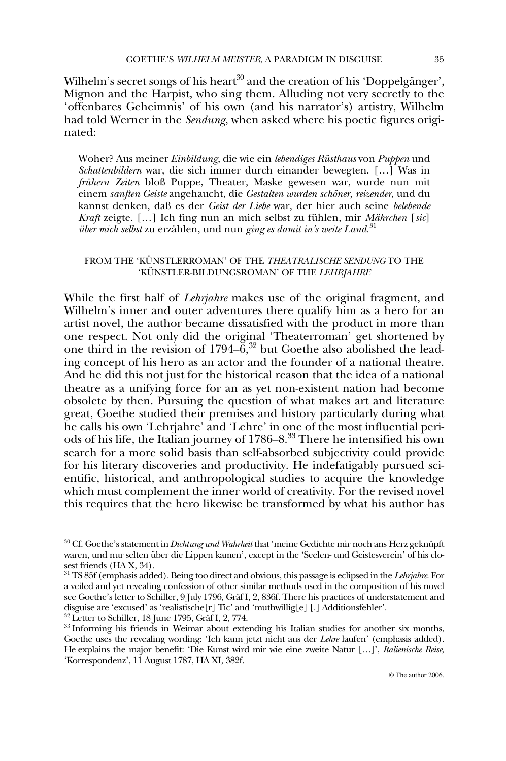Wilhelm's secret songs of his heart<sup>30</sup> and the creation of his 'Doppelgänger', Mignon and the Harpist, who sing them. Alluding not very secretly to the 'offenbares Geheimnis' of his own (and his narrator's) artistry, Wilhelm had told Werner in the *Sendung*, when asked where his poetic figures originated:

Woher? Aus meiner *Einbildung*, die wie ein *lebendiges Rüsthaus* von *Puppen* und *Schattenbildern* war, die sich immer durch einander bewegten. […] Was in *frühern Zeiten* bloß Puppe, Theater, Maske gewesen war, wurde nun mit einem *sanften Geiste* angehaucht, die *Gestalten wurden schöner, reizender*, und du kannst denken, daß es der *Geist der Liebe* war, der hier auch seine *belebende Kraft* zeigte. […] Ich fing nun an mich selbst zu fühlen, mir *Mährchen* [*sic*] *über mich selbst* zu erzählen, und nun *ging es damit in's weite Land.*<sup>31</sup>

## FROM THE 'KÜNSTLERROMAN' OF THE *THEATRALISCHE SENDUNG* TO THE 'KÜNSTLER-BILDUNGSROMAN' OF THE *LEHRJAHRE*

While the first half of *Lehrjahre* makes use of the original fragment, and Wilhelm's inner and outer adventures there qualify him as a hero for an artist novel, the author became dissatisfied with the product in more than one respect. Not only did the original 'Theaterroman' get shortened by one third in the revision of 1794– $6,32$  but Goethe also abolished the leading concept of his hero as an actor and the founder of a national theatre. And he did this not just for the historical reason that the idea of a national theatre as a unifying force for an as yet non-existent nation had become obsolete by then. Pursuing the question of what makes art and literature great, Goethe studied their premises and history particularly during what he calls his own 'Lehrjahre' and 'Lehre' in one of the most influential periods of his life, the Italian journey of 1786–8.<sup>33</sup> There he intensified his own search for a more solid basis than self-absorbed subjectivity could provide for his literary discoveries and productivity. He indefatigably pursued scientific, historical, and anthropological studies to acquire the knowledge which must complement the inner world of creativity. For the revised novel this requires that the hero likewise be transformed by what his author has

<sup>32</sup> Letter to Schiller, 18 June 1795, Gräf I, 2, 774.

<sup>30</sup> Cf. Goethe's statement in *Dichtung und Wahrheit* that 'meine Gedichte mir noch ans Herz geknüpft waren, und nur selten über die Lippen kamen', except in the 'Seelen- und Geistesverein' of his closest friends (HA X, 34).

<sup>31</sup> TS 85f (emphasis added). Being too direct and obvious, this passage is eclipsed in the *Lehrjahre*. For a veiled and yet revealing confession of other similar methods used in the composition of his novel see Goethe's letter to Schiller, 9 July 1796, Gräf I, 2, 836f. There his practices of understatement and disguise are 'excused' as 'realistische[r] Tic' and 'muthwillig[e] [.] Additionsfehler'.

<sup>&</sup>lt;sup>33</sup> Informing his friends in Weimar about extending his Italian studies for another six months, Goethe uses the revealing wording: 'Ich kann jetzt nicht aus der *Lehre* laufen' (emphasis added). He explains the major benefit: 'Die Kunst wird mir wie eine zweite Natur […]', *Italienische Reise*, 'Korrespondenz', 11 August 1787, HA XI, 382f.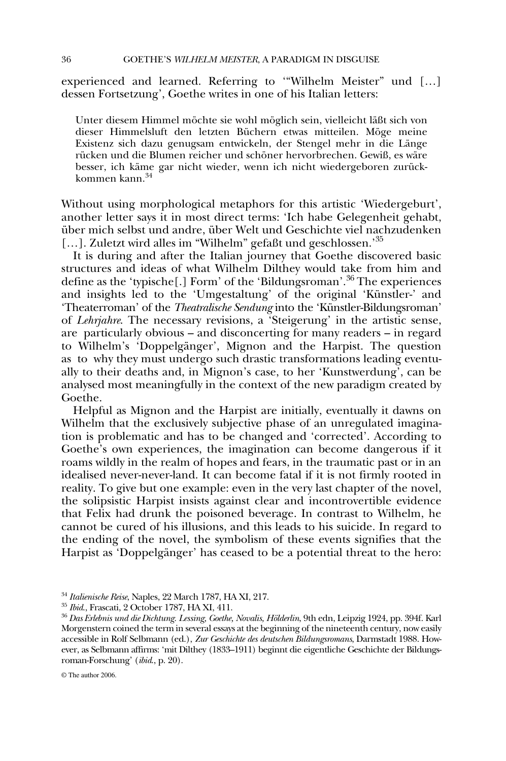experienced and learned. Referring to '"Wilhelm Meister" und […] dessen Fortsetzung', Goethe writes in one of his Italian letters:

Unter diesem Himmel möchte sie wohl möglich sein, vielleicht läßt sich von dieser Himmelsluft den letzten Büchern etwas mitteilen. Möge meine Existenz sich dazu genugsam entwickeln, der Stengel mehr in die Länge rücken und die Blumen reicher und schöner hervorbrechen. Gewiß, es wäre besser, ich käme gar nicht wieder, wenn ich nicht wiedergeboren zurückkommen kann.<sup>34</sup>

Without using morphological metaphors for this artistic 'Wiedergeburt', another letter says it in most direct terms: 'Ich habe Gelegenheit gehabt, über mich selbst und andre, über Welt und Geschichte viel nachzudenken [...]. Zuletzt wird alles im "Wilhelm" gefaßt und geschlossen.'35

It is during and after the Italian journey that Goethe discovered basic structures and ideas of what Wilhelm Dilthey would take from him and define as the 'typische[.] Form' of the 'Bildungsroman'.36 The experiences and insights led to the 'Umgestaltung' of the original 'Künstler-' and 'Theaterroman' of the *Theatralische Sendung* into the 'Künstler-Bildungsroman' of *Lehrjahre*. The necessary revisions, a 'Steigerung' in the artistic sense, are particularly obvious – and disconcerting for many readers – in regard to Wilhelm's 'Doppelgänger', Mignon and the Harpist. The question as to why they must undergo such drastic transformations leading eventually to their deaths and, in Mignon's case, to her 'Kunstwerdung', can be analysed most meaningfully in the context of the new paradigm created by Goethe.

Helpful as Mignon and the Harpist are initially, eventually it dawns on Wilhelm that the exclusively subjective phase of an unregulated imagination is problematic and has to be changed and 'corrected'. According to Goethe's own experiences, the imagination can become dangerous if it roams wildly in the realm of hopes and fears, in the traumatic past or in an idealised never-never-land. It can become fatal if it is not firmly rooted in reality. To give but one example: even in the very last chapter of the novel, the solipsistic Harpist insists against clear and incontrovertible evidence that Felix had drunk the poisoned beverage. In contrast to Wilhelm, he cannot be cured of his illusions, and this leads to his suicide. In regard to the ending of the novel, the symbolism of these events signifies that the Harpist as 'Doppelgänger' has ceased to be a potential threat to the hero:

<sup>34</sup> *Italienische Reise*, Naples, 22 March 1787, HA XI, 217.

<sup>35</sup> *Ibid*., Frascati, 2 October 1787, HA XI, 411.

<sup>36</sup> *Das Erlebnis und die Dichtung. Lessing, Goethe, Novalis, Hölderlin*, 9th edn, Leipzig 1924, pp. 394f. Karl Morgenstern coined the term in several essays at the beginning of the nineteenth century, now easily accessible in Rolf Selbmann (ed.), *Zur Geschichte des deutschen Bildungsromans*, Darmstadt 1988. However, as Selbmann affirms: 'mit Dilthey (1833–1911) beginnt die eigentliche Geschichte der Bildungsroman-Forschung' (*ibid*., p. 20).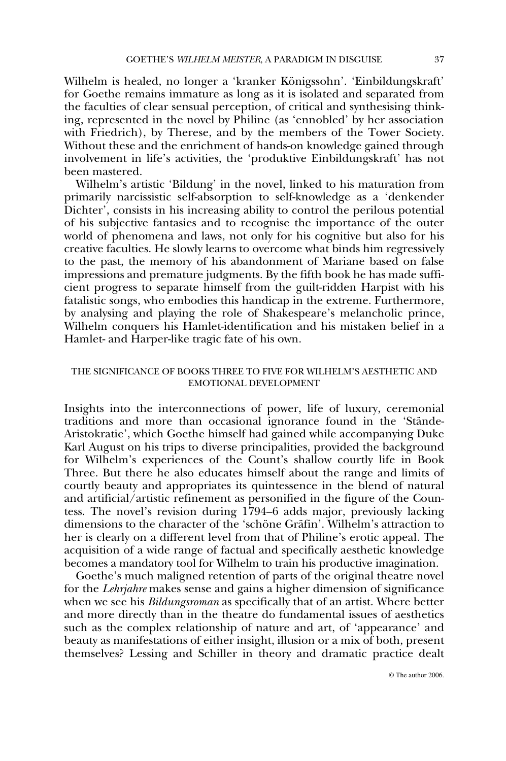Wilhelm is healed, no longer a 'kranker Königssohn'. 'Einbildungskraft' for Goethe remains immature as long as it is isolated and separated from the faculties of clear sensual perception, of critical and synthesising thinking, represented in the novel by Philine (as 'ennobled' by her association with Friedrich), by Therese, and by the members of the Tower Society. Without these and the enrichment of hands-on knowledge gained through involvement in life's activities, the 'produktive Einbildungskraft' has not been mastered.

Wilhelm's artistic 'Bildung' in the novel, linked to his maturation from primarily narcissistic self-absorption to self-knowledge as a 'denkender Dichter', consists in his increasing ability to control the perilous potential of his subjective fantasies and to recognise the importance of the outer world of phenomena and laws, not only for his cognitive but also for his creative faculties. He slowly learns to overcome what binds him regressively to the past, the memory of his abandonment of Mariane based on false impressions and premature judgments. By the fifth book he has made sufficient progress to separate himself from the guilt-ridden Harpist with his fatalistic songs, who embodies this handicap in the extreme. Furthermore, by analysing and playing the role of Shakespeare's melancholic prince, Wilhelm conquers his Hamlet-identification and his mistaken belief in a Hamlet- and Harper-like tragic fate of his own.

## THE SIGNIFICANCE OF BOOKS THREE TO FIVE FOR WILHELM'S AESTHETIC AND EMOTIONAL DEVELOPMENT

Insights into the interconnections of power, life of luxury, ceremonial traditions and more than occasional ignorance found in the 'Stände-Aristokratie', which Goethe himself had gained while accompanying Duke Karl August on his trips to diverse principalities, provided the background for Wilhelm's experiences of the Count's shallow courtly life in Book Three. But there he also educates himself about the range and limits of courtly beauty and appropriates its quintessence in the blend of natural and artificial/artistic refinement as personified in the figure of the Countess. The novel's revision during 1794–6 adds major, previously lacking dimensions to the character of the 'schöne Gräfin'. Wilhelm's attraction to her is clearly on a different level from that of Philine's erotic appeal. The acquisition of a wide range of factual and specifically aesthetic knowledge becomes a mandatory tool for Wilhelm to train his productive imagination.

Goethe's much maligned retention of parts of the original theatre novel for the *Lehrjahre* makes sense and gains a higher dimension of significance when we see his *Bildungsroman* as specifically that of an artist. Where better and more directly than in the theatre do fundamental issues of aesthetics such as the complex relationship of nature and art, of 'appearance' and beauty as manifestations of either insight, illusion or a mix of both, present themselves? Lessing and Schiller in theory and dramatic practice dealt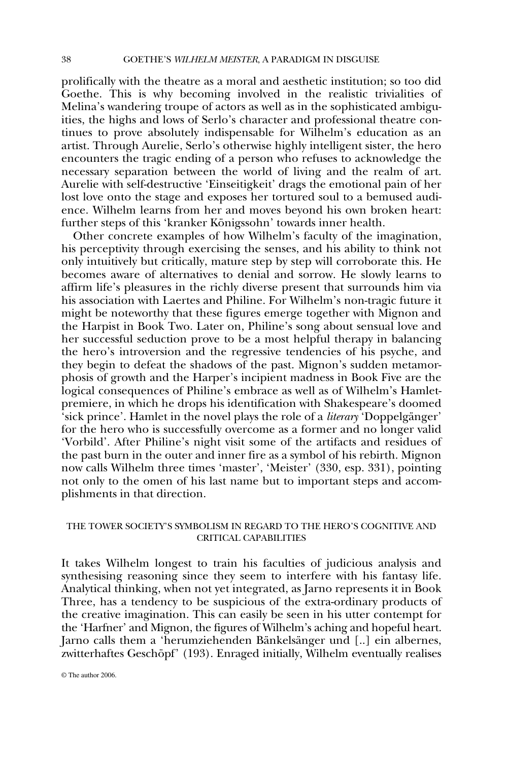prolifically with the theatre as a moral and aesthetic institution; so too did Goethe. This is why becoming involved in the realistic trivialities of Melina's wandering troupe of actors as well as in the sophisticated ambiguities, the highs and lows of Serlo's character and professional theatre continues to prove absolutely indispensable for Wilhelm's education as an artist. Through Aurelie, Serlo's otherwise highly intelligent sister, the hero encounters the tragic ending of a person who refuses to acknowledge the necessary separation between the world of living and the realm of art. Aurelie with self-destructive 'Einseitigkeit' drags the emotional pain of her lost love onto the stage and exposes her tortured soul to a bemused audience. Wilhelm learns from her and moves beyond his own broken heart: further steps of this 'kranker Königssohn' towards inner health.

Other concrete examples of how Wilhelm's faculty of the imagination, his perceptivity through exercising the senses, and his ability to think not only intuitively but critically, mature step by step will corroborate this. He becomes aware of alternatives to denial and sorrow. He slowly learns to affirm life's pleasures in the richly diverse present that surrounds him via his association with Laertes and Philine. For Wilhelm's non-tragic future it might be noteworthy that these figures emerge together with Mignon and the Harpist in Book Two. Later on, Philine's song about sensual love and her successful seduction prove to be a most helpful therapy in balancing the hero's introversion and the regressive tendencies of his psyche, and they begin to defeat the shadows of the past. Mignon's sudden metamorphosis of growth and the Harper's incipient madness in Book Five are the logical consequences of Philine's embrace as well as of Wilhelm's Hamletpremiere, in which he drops his identification with Shakespeare's doomed 'sick prince'. Hamlet in the novel plays the role of a *literary* 'Doppelgänger' for the hero who is successfully overcome as a former and no longer valid 'Vorbild'. After Philine's night visit some of the artifacts and residues of the past burn in the outer and inner fire as a symbol of his rebirth. Mignon now calls Wilhelm three times 'master', 'Meister' (330, esp. 331), pointing not only to the omen of his last name but to important steps and accomplishments in that direction.

# THE TOWER SOCIETY'S SYMBOLISM IN REGARD TO THE HERO'S COGNITIVE AND CRITICAL CAPABILITIES

It takes Wilhelm longest to train his faculties of judicious analysis and synthesising reasoning since they seem to interfere with his fantasy life. Analytical thinking, when not yet integrated, as Jarno represents it in Book Three, has a tendency to be suspicious of the extra-ordinary products of the creative imagination. This can easily be seen in his utter contempt for the 'Harfner' and Mignon, the figures of Wilhelm's aching and hopeful heart. Jarno calls them a 'herumziehenden Bänkelsänger und [..] ein albernes, zwitterhaftes Geschöpf' (193). Enraged initially, Wilhelm eventually realises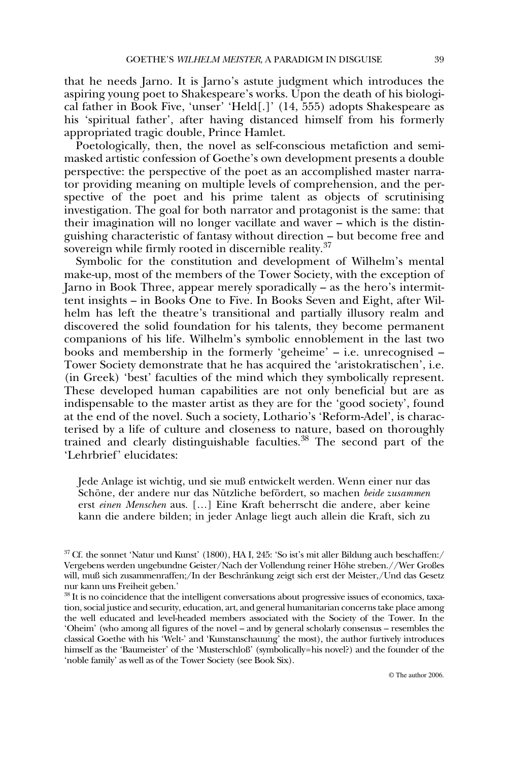that he needs Jarno. It is Jarno's astute judgment which introduces the aspiring young poet to Shakespeare's works. Upon the death of his biological father in Book Five, 'unser' 'Held[.]' (14, 555) adopts Shakespeare as his 'spiritual father', after having distanced himself from his formerly appropriated tragic double, Prince Hamlet.

Poetologically, then, the novel as self-conscious metafiction and semimasked artistic confession of Goethe's own development presents a double perspective: the perspective of the poet as an accomplished master narrator providing meaning on multiple levels of comprehension, and the perspective of the poet and his prime talent as objects of scrutinising investigation. The goal for both narrator and protagonist is the same: that their imagination will no longer vacillate and waver – which is the distinguishing characteristic of fantasy without direction – but become free and sovereign while firmly rooted in discernible reality.<sup>37</sup>

Symbolic for the constitution and development of Wilhelm's mental make-up, most of the members of the Tower Society, with the exception of Jarno in Book Three, appear merely sporadically – as the hero's intermittent insights – in Books One to Five. In Books Seven and Eight, after Wilhelm has left the theatre's transitional and partially illusory realm and discovered the solid foundation for his talents, they become permanent companions of his life. Wilhelm's symbolic ennoblement in the last two books and membership in the formerly 'geheime' – i.e. unrecognised – Tower Society demonstrate that he has acquired the 'aristokratischen', i.e. (in Greek) 'best' faculties of the mind which they symbolically represent. These developed human capabilities are not only beneficial but are as indispensable to the master artist as they are for the 'good society', found at the end of the novel. Such a society, Lothario's 'Reform-Adel', is characterised by a life of culture and closeness to nature, based on thoroughly trained and clearly distinguishable faculties.<sup>38</sup> The second part of the 'Lehrbrief' elucidates:

Jede Anlage ist wichtig, und sie muß entwickelt werden. Wenn einer nur das Schöne, der andere nur das Nützliche befördert, so machen *beide zusammen* erst *einen Menschen* aus. […] Eine Kraft beherrscht die andere, aber keine kann die andere bilden; in jeder Anlage liegt auch allein die Kraft, sich zu

<sup>37</sup> Cf. the sonnet 'Natur und Kunst' (1800), HA I, 245: 'So ist's mit aller Bildung auch beschaffen:/ Vergebens werden ungebundne Geister/Nach der Vollendung reiner Höhe streben.//Wer Großes will, muß sich zusammenraffen;/In der Beschränkung zeigt sich erst der Meister,/Und das Gesetz nur kann uns Freiheit geben.'

<sup>38</sup> It is no coincidence that the intelligent conversations about progressive issues of economics, taxation, social justice and security, education, art, and general humanitarian concerns take place among the well educated and level-headed members associated with the Society of the Tower. In the 'Oheim' (who among all figures of the novel – and by general scholarly consensus – resembles the classical Goethe with his 'Welt-' and 'Kunstanschauung' the most), the author furtively introduces himself as the 'Baumeister' of the 'Musterschloß' (symbolically=his novel?) and the founder of the 'noble family' as well as of the Tower Society (see Book Six).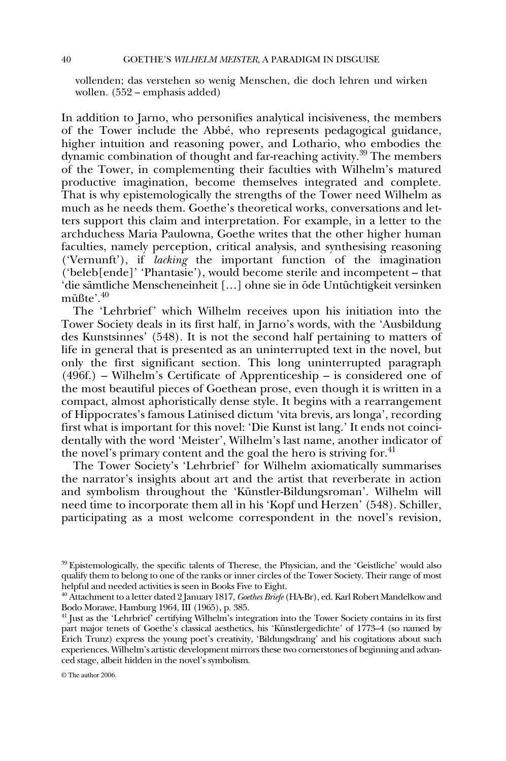vollenden; das verstehen so wenig Menschen, die doch lehren und wirken wollen. (552 – emphasis added)

In addition to Jarno, who personifies analytical incisiveness, the members of the Tower include the Abbé, who represents pedagogical guidance, higher intuition and reasoning power, and Lothario, who embodies the dynamic combination of thought and far-reaching activity.<sup>39</sup> The members of the Tower, in complementing their faculties with Wilhelm's matured productive imagination, become themselves integrated and complete. That is why epistemologically the strengths of the Tower need Wilhelm as much as he needs them. Goethe's theoretical works, conversations and letters support this claim and interpretation. For example, in a letter to the archduchess Maria Paulowna, Goethe writes that the other higher human faculties, namely perception, critical analysis, and synthesising reasoning ('Vernunft'), if *lacking* the important function of the imagination ('beleb[ende]' 'Phantasie'), would become sterile and incompetent – that 'die sämtliche Menscheneinheit […] ohne sie in öde Untüchtigkeit versinken müßte'. $40$ 

The 'Lehrbrief' which Wilhelm receives upon his initiation into the Tower Society deals in its first half, in Jarno's words, with the 'Ausbildung des Kunstsinnes' (548). It is not the second half pertaining to matters of life in general that is presented as an uninterrupted text in the novel, but only the first significant section. This long uninterrupted paragraph (496f.) – Wilhelm's Certificate of Apprenticeship – is considered one of the most beautiful pieces of Goethean prose, even though it is written in a compact, almost aphoristically dense style. It begins with a rearrangement of Hippocrates's famous Latinised dictum 'vita brevis, ars longa', recording first what is important for this novel: 'Die Kunst ist lang.' It ends not coincidentally with the word 'Meister', Wilhelm's last name, another indicator of the novel's primary content and the goal the hero is striving for.<sup>41</sup>

The Tower Society's 'Lehrbrief' for Wilhelm axiomatically summarises the narrator's insights about art and the artist that reverberate in action and symbolism throughout the 'Künstler-Bildungsroman'. Wilhelm will need time to incorporate them all in his 'Kopf und Herzen' (548). Schiller, participating as a most welcome correspondent in the novel's revision,

<sup>&</sup>lt;sup>39</sup> Epistemologically, the specific talents of Therese, the Physician, and the 'Geistliche' would also qualify them to belong to one of the ranks or inner circles of the Tower Society. Their range of most helpful and needed activities is seen in Books Five to Eight.

<sup>40</sup> Attachment to a letter dated 2 January 1817, *Goethes Briefe* (HA-Br), ed. Karl Robert Mandelkow and Bodo Morawe, Hamburg 1964, III (1965), p. 385.

<sup>&</sup>lt;sup>41</sup> Just as the 'Lehrbrief' certifying Wilhelm's integration into the Tower Society contains in its first part major tenets of Goethe's classical aesthetics, his 'Künstlergedichte' of 1773–4 (so named by Erich Trunz) express the young poet's creativity, 'Bildungsdrang' and his cogitations about such experiences. Wilhelm's artistic development mirrors these two cornerstones of beginning and advanced stage, albeit hidden in the novel's symbolism.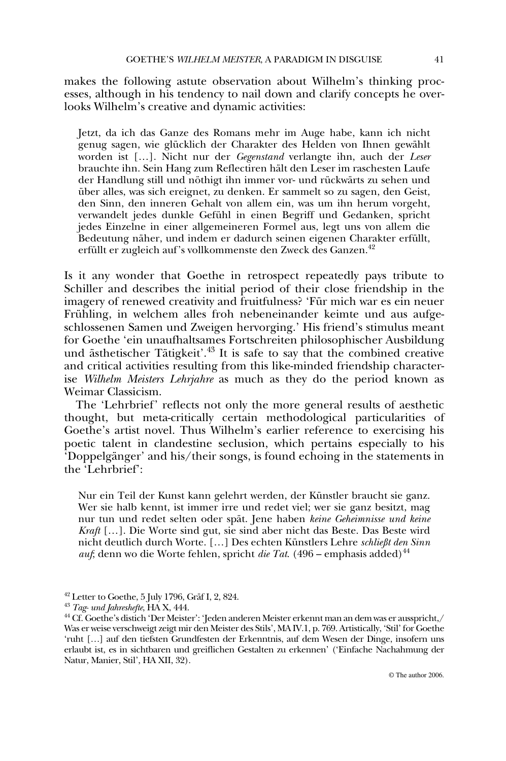makes the following astute observation about Wilhelm's thinking processes, although in his tendency to nail down and clarify concepts he overlooks Wilhelm's creative and dynamic activities:

Jetzt, da ich das Ganze des Romans mehr im Auge habe, kann ich nicht genug sagen, wie glücklich der Charakter des Helden von Ihnen gewählt worden ist […]. Nicht nur der *Gegenstand* verlangte ihn, auch der *Leser* brauchte ihn. Sein Hang zum Reflectiren hält den Leser im raschesten Laufe der Handlung still und nöthigt ihn immer vor- und rückwärts zu sehen und über alles, was sich ereignet, zu denken. Er sammelt so zu sagen, den Geist, den Sinn, den inneren Gehalt von allem ein, was um ihn herum vorgeht, verwandelt jedes dunkle Gefühl in einen Begriff und Gedanken, spricht jedes Einzelne in einer allgemeineren Formel aus, legt uns von allem die Bedeutung näher, und indem er dadurch seinen eigenen Charakter erfüllt, erfüllt er zugleich auf's vollkommenste den Zweck des Ganzen.<sup>42</sup>

Is it any wonder that Goethe in retrospect repeatedly pays tribute to Schiller and describes the initial period of their close friendship in the imagery of renewed creativity and fruitfulness? 'Für mich war es ein neuer Frühling, in welchem alles froh nebeneinander keimte und aus aufgeschlossenen Samen und Zweigen hervorging.' His friend's stimulus meant for Goethe 'ein unaufhaltsames Fortschreiten philosophischer Ausbildung und ästhetischer Tätigkeit'.<sup>43</sup> It is safe to say that the combined creative and critical activities resulting from this like-minded friendship characterise *Wilhelm Meisters Lehrjahre* as much as they do the period known as Weimar Classicism.

The 'Lehrbrief' reflects not only the more general results of aesthetic thought, but meta-critically certain methodological particularities of Goethe's artist novel. Thus Wilhelm's earlier reference to exercising his poetic talent in clandestine seclusion, which pertains especially to his 'Doppelgänger' and his/their songs, is found echoing in the statements in the 'Lehrbrief':

Nur ein Teil der Kunst kann gelehrt werden, der Künstler braucht sie ganz. Wer sie halb kennt, ist immer irre und redet viel; wer sie ganz besitzt, mag nur tun und redet selten oder spät. Jene haben *keine Geheimnisse und keine Kraft* […]. Die Worte sind gut, sie sind aber nicht das Beste. Das Beste wird nicht deutlich durch Worte. […] Des echten Künstlers Lehre *schließt den Sinn auf*; denn wo die Worte fehlen, spricht *die Tat*. (496 – emphasis added)<sup>44</sup>

<sup>42</sup> Letter to Goethe, 5 July 1796, Gräf I, 2, 824.

<sup>43</sup> *Tag- und Jahreshefte*, HA X, 444.

<sup>44</sup> Cf. Goethe's distich 'Der Meister': 'Jeden anderen Meister erkennt man an dem was er ausspricht,/ Was er weise verschweigt zeigt mir den Meister des Stils', MA IV.1, p. 769. Artistically, 'Stil' for Goethe 'ruht […] auf den tiefsten Grundfesten der Erkenntnis, auf dem Wesen der Dinge, insofern uns erlaubt ist, es in sichtbaren und greiflichen Gestalten zu erkennen' ('Einfache Nachahmung der Natur, Manier, Stil', HA XII, 32).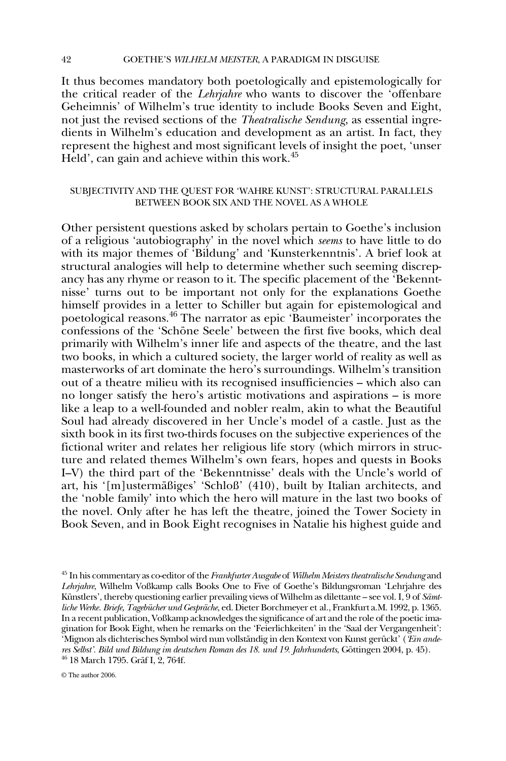It thus becomes mandatory both poetologically and epistemologically for the critical reader of the *Lehrjahre* who wants to discover the 'offenbare Geheimnis' of Wilhelm's true identity to include Books Seven and Eight, not just the revised sections of the *Theatralische Sendung*, as essential ingredients in Wilhelm's education and development as an artist. In fact, they represent the highest and most significant levels of insight the poet, 'unser Held', can gain and achieve within this work. $45$ 

#### SUBJECTIVITY AND THE QUEST FOR 'WAHRE KUNST': STRUCTURAL PARALLELS BETWEEN BOOK SIX AND THE NOVEL AS A WHOLE

Other persistent questions asked by scholars pertain to Goethe's inclusion of a religious 'autobiography' in the novel which *seems* to have little to do with its major themes of 'Bildung' and 'Kunsterkenntnis'. A brief look at structural analogies will help to determine whether such seeming discrepancy has any rhyme or reason to it. The specific placement of the 'Bekenntnisse' turns out to be important not only for the explanations Goethe himself provides in a letter to Schiller but again for epistemological and poetological reasons.46 The narrator as epic 'Baumeister' incorporates the confessions of the 'Schöne Seele' between the first five books, which deal primarily with Wilhelm's inner life and aspects of the theatre, and the last two books, in which a cultured society, the larger world of reality as well as masterworks of art dominate the hero's surroundings. Wilhelm's transition out of a theatre milieu with its recognised insufficiencies – which also can no longer satisfy the hero's artistic motivations and aspirations – is more like a leap to a well-founded and nobler realm, akin to what the Beautiful Soul had already discovered in her Uncle's model of a castle. Just as the sixth book in its first two-thirds focuses on the subjective experiences of the fictional writer and relates her religious life story (which mirrors in structure and related themes Wilhelm's own fears, hopes and quests in Books I–V) the third part of the 'Bekenntnisse' deals with the Uncle's world of art, his '[m]ustermäßiges' 'Schloß' (410), built by Italian architects, and the 'noble family' into which the hero will mature in the last two books of the novel. Only after he has left the theatre, joined the Tower Society in Book Seven, and in Book Eight recognises in Natalie his highest guide and

<sup>45</sup> In his commentary as co-editor of the *Frankfurter Ausgabe* of *Wilhelm Meisters theatralische Sendung* and *Lehrjahre*, Wilhelm Voßkamp calls Books One to Five of Goethe's Bildungsroman 'Lehrjahre des Künstlers', thereby questioning earlier prevailing views of Wilhelm as dilettante – see vol. I, 9 of *Sämtliche Werke. Briefe, Tagebücher und Gespräche*, ed. Dieter Borchmeyer et al., Frankfurt a.M. 1992, p. 1365. In a recent publication, Voßkamp acknowledges the significance of art and the role of the poetic imagination for Book Eight, when he remarks on the 'Feierlichkeiten' in the 'Saal der Vergangenheit': 'Mignon als dichterisches Symbol wird nun vollständig in den Kontext von Kunst gerückt' (*'Ein anderes Selbst'. Bild und Bildung im deutschen Roman des 18. und 19. Jahrhunderts*, Göttingen 2004, p. 45). <sup>46</sup> 18 March 1795. Gräf I, 2, 764f.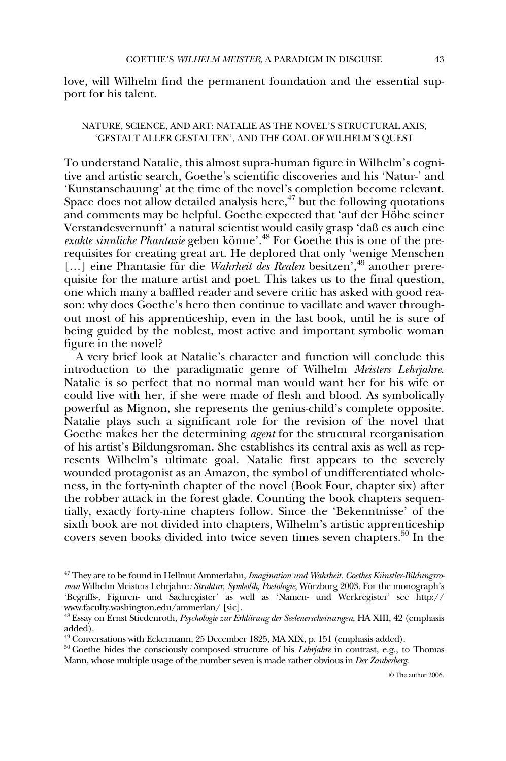love, will Wilhelm find the permanent foundation and the essential support for his talent.

#### NATURE, SCIENCE, AND ART: NATALIE AS THE NOVEL'S STRUCTURAL AXIS, 'GESTALT ALLER GESTALTEN', AND THE GOAL OF WILHELM'S QUEST

To understand Natalie, this almost supra-human figure in Wilhelm's cognitive and artistic search, Goethe's scientific discoveries and his 'Natur-' and 'Kunstanschauung' at the time of the novel's completion become relevant. Space does not allow detailed analysis here, $47$  but the following quotations and comments may be helpful. Goethe expected that 'auf der Höhe seiner Verstandesvernunft' a natural scientist would easily grasp 'daß es auch eine *exakte sinnliche Phantasie* geben könne'.48 For Goethe this is one of the prerequisites for creating great art. He deplored that only 'wenige Menschen [...] eine Phantasie für die *Wahrheit des Realen* besitzen',<sup>49</sup> another prerequisite for the mature artist and poet. This takes us to the final question, one which many a baffled reader and severe critic has asked with good reason: why does Goethe's hero then continue to vacillate and waver throughout most of his apprenticeship, even in the last book, until he is sure of being guided by the noblest, most active and important symbolic woman figure in the novel?

A very brief look at Natalie's character and function will conclude this introduction to the paradigmatic genre of Wilhelm *Meisters Lehrjahre*. Natalie is so perfect that no normal man would want her for his wife or could live with her, if she were made of flesh and blood. As symbolically powerful as Mignon, she represents the genius-child's complete opposite. Natalie plays such a significant role for the revision of the novel that Goethe makes her the determining *agent* for the structural reorganisation of his artist's Bildungsroman. She establishes its central axis as well as represents Wilhelm's ultimate goal. Natalie first appears to the severely wounded protagonist as an Amazon, the symbol of undifferentiated wholeness, in the forty-ninth chapter of the novel (Book Four, chapter six) after the robber attack in the forest glade. Counting the book chapters sequentially, exactly forty-nine chapters follow. Since the 'Bekenntnisse' of the sixth book are not divided into chapters, Wilhelm's artistic apprenticeship covers seven books divided into twice seven times seven chapters.<sup>50</sup> In the

<sup>47</sup> They are to be found in Hellmut Ammerlahn, *Imagination und Wahrheit. Goethes Künstler-Bildungsroman* Wilhelm Meisters Lehrjahre*: Struktur, Symbolik, Poetologie*, Würzburg 2003. For the monograph's 'Begriffs-, Figuren- und Sachregister' as well as 'Namen- und Werkregister' see http:// www.faculty.washington.edu/ammerlan/ [sic].

<sup>48</sup> Essay on Ernst Stiedenroth, *Psychologie zur Erklärung der Seelenerscheinungen*, HA XIII, 42 (emphasis added).

<sup>49</sup> Conversations with Eckermann, 25 December 1825, MA XIX, p. 151 (emphasis added).

<sup>50</sup> Goethe hides the consciously composed structure of his *Lehrjahre* in contrast, e.g., to Thomas Mann, whose multiple usage of the number seven is made rather obvious in *Der Zauberberg*.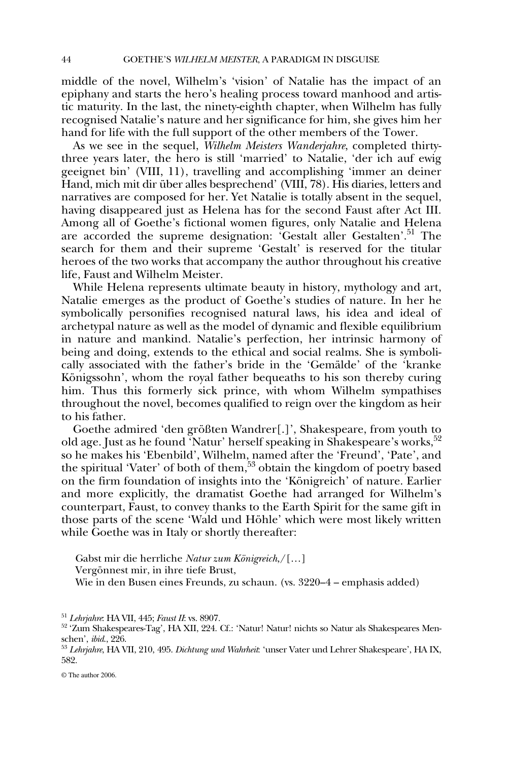middle of the novel, Wilhelm's 'vision' of Natalie has the impact of an epiphany and starts the hero's healing process toward manhood and artistic maturity. In the last, the ninety-eighth chapter, when Wilhelm has fully recognised Natalie's nature and her significance for him, she gives him her hand for life with the full support of the other members of the Tower.

As we see in the sequel, *Wilhelm Meisters Wanderjahre*, completed thirtythree years later, the hero is still 'married' to Natalie, 'der ich auf ewig geeignet bin' (VIII, 11), travelling and accomplishing 'immer an deiner Hand, mich mit dir über alles besprechend' (VIII, 78). His diaries, letters and narratives are composed for her. Yet Natalie is totally absent in the sequel, having disappeared just as Helena has for the second Faust after Act III. Among all of Goethe's fictional women figures, only Natalie and Helena are accorded the supreme designation: 'Gestalt aller Gestalten'.<sup>51</sup> The search for them and their supreme 'Gestalt' is reserved for the titular heroes of the two works that accompany the author throughout his creative life, Faust and Wilhelm Meister.

While Helena represents ultimate beauty in history, mythology and art, Natalie emerges as the product of Goethe's studies of nature. In her he symbolically personifies recognised natural laws, his idea and ideal of archetypal nature as well as the model of dynamic and flexible equilibrium in nature and mankind. Natalie's perfection, her intrinsic harmony of being and doing, extends to the ethical and social realms. She is symbolically associated with the father's bride in the 'Gemälde' of the 'kranke Königssohn', whom the royal father bequeaths to his son thereby curing him. Thus this formerly sick prince, with whom Wilhelm sympathises throughout the novel, becomes qualified to reign over the kingdom as heir to his father.

Goethe admired 'den größten Wandrer[.]', Shakespeare, from youth to old age. Just as he found 'Natur' herself speaking in Shakespeare's works, 52 so he makes his 'Ebenbild', Wilhelm, named after the 'Freund', 'Pate', and the spiritual 'Vater' of both of them, $53$  obtain the kingdom of poetry based on the firm foundation of insights into the 'Königreich' of nature. Earlier and more explicitly, the dramatist Goethe had arranged for Wilhelm's counterpart, Faust, to convey thanks to the Earth Spirit for the same gift in those parts of the scene 'Wald und Höhle' which were most likely written while Goethe was in Italy or shortly thereafter:

Gabst mir die herrliche *Natur zum Königreich*,/[…] Vergönnest mir, in ihre tiefe Brust, Wie in den Busen eines Freunds, zu schaun. (vs. 3220–4 – emphasis added)

<sup>51</sup> *Lehrjahre*: HA VII, 445; *Faust II*: vs. 8907.

<sup>52</sup> 'Zum Shakespeares-Tag', HA XII, 224. Cf.: 'Natur! Natur! nichts so Natur als Shakespeares Menschen', *ibid*., 226.

<sup>53</sup> *Lehrjahre*, HA VII, 210, 495. *Dichtung und Wahrheit*: 'unser Vater und Lehrer Shakespeare', HA IX, 582.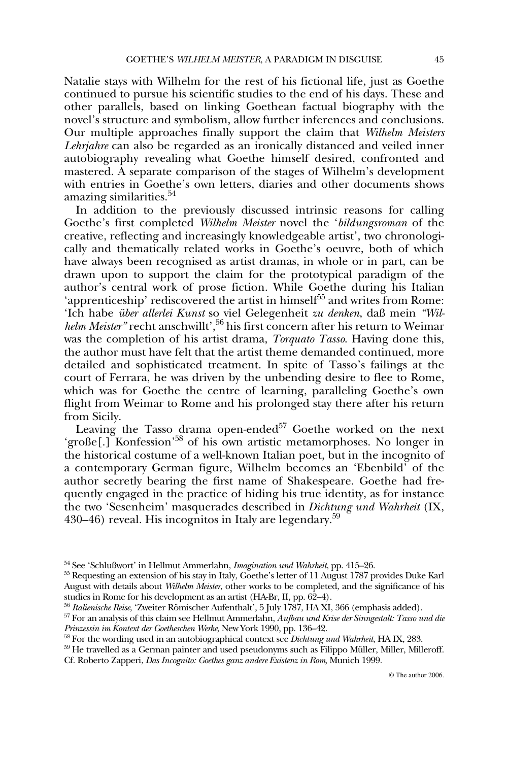Natalie stays with Wilhelm for the rest of his fictional life, just as Goethe continued to pursue his scientific studies to the end of his days. These and other parallels, based on linking Goethean factual biography with the novel's structure and symbolism, allow further inferences and conclusions. Our multiple approaches finally support the claim that *Wilhelm Meisters Lehrjahre* can also be regarded as an ironically distanced and veiled inner autobiography revealing what Goethe himself desired, confronted and mastered. A separate comparison of the stages of Wilhelm's development with entries in Goethe's own letters, diaries and other documents shows amazing similarities. $^{54}$ 

In addition to the previously discussed intrinsic reasons for calling Goethe's first completed *Wilhelm Meister* novel the '*bildungsroman* of the creative, reflecting and increasingly knowledgeable artist', two chronologically and thematically related works in Goethe's oeuvre, both of which have always been recognised as artist dramas, in whole or in part, can be drawn upon to support the claim for the prototypical paradigm of the author's central work of prose fiction. While Goethe during his Italian 'apprenticeship' rediscovered the artist in himself<sup>55</sup> and writes from Rome: 'Ich habe *über allerlei Kunst* so viel Gelegenheit *zu denken*, daß mein *"Wilhelm Meister*" recht anschwillt<sup>', 56</sup> his first concern after his return to Weimar was the completion of his artist drama, *Torquato Tasso*. Having done this, the author must have felt that the artist theme demanded continued, more detailed and sophisticated treatment. In spite of Tasso's failings at the court of Ferrara, he was driven by the unbending desire to flee to Rome, which was for Goethe the centre of learning, paralleling Goethe's own flight from Weimar to Rome and his prolonged stay there after his return from Sicily.

Leaving the Tasso drama open-ended<sup>57</sup> Goethe worked on the next 'große[.] Konfession'58 of his own artistic metamorphoses. No longer in the historical costume of a well-known Italian poet, but in the incognito of a contemporary German figure, Wilhelm becomes an 'Ebenbild' of the author secretly bearing the first name of Shakespeare. Goethe had frequently engaged in the practice of hiding his true identity, as for instance the two 'Sesenheim' masquerades described in *Dichtung und Wahrheit* (IX, 430–46) reveal. His incognitos in Italy are legendary.<sup>59</sup>

<sup>54</sup> See 'Schlußwort' in Hellmut Ammerlahn, *Imagination und Wahrheit*, pp. 415–26.

<sup>55</sup> Requesting an extension of his stay in Italy, Goethe's letter of 11 August 1787 provides Duke Karl August with details about *Wilhelm Meister*, other works to be completed, and the significance of his studies in Rome for his development as an artist (HA-Br, II, pp. 62–4).

<sup>56</sup> *Italienische Reise*, 'Zweiter Römischer Aufenthalt', 5 July 1787, HA XI, 366 (emphasis added).

<sup>57</sup> For an analysis of this claim see Hellmut Ammerlahn, *Aufbau und Krise der Sinngestalt: Tasso und die Prinzessin im Kontext der Goetheschen Werke*, New York 1990, pp. 136–42.

<sup>58</sup> For the wording used in an autobiographical context see *Dichtung und Wahrheit*, HA IX, 283.

<sup>59</sup> He travelled as a German painter and used pseudonyms such as Filippo Müller, Miller, Milleroff. Cf. Roberto Zapperi, *Das Incognito: Goethes ganz andere Existenz in Rom*, Munich 1999.